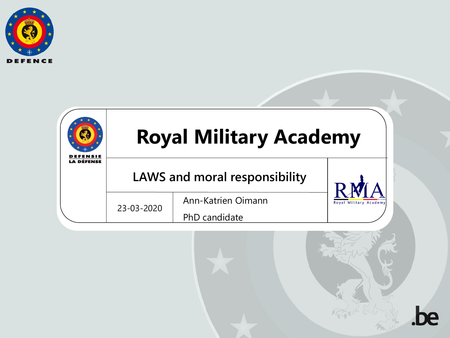



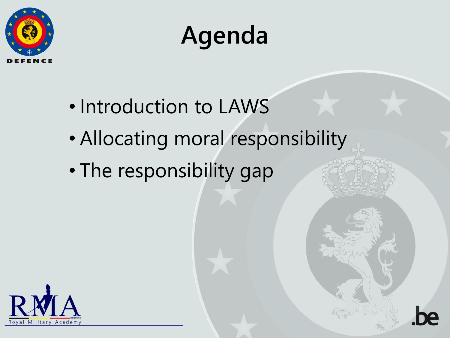



- Introduction to LAWS
- Allocating moral responsibility
- The responsibility gap

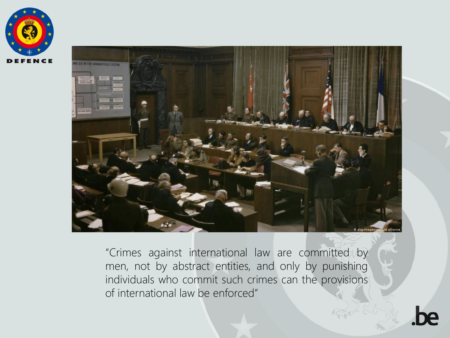



"Crimes against international law are committed by men, not by abstract entities, and only by punishing individuals who commit such crimes can the provisions of international law be enforced"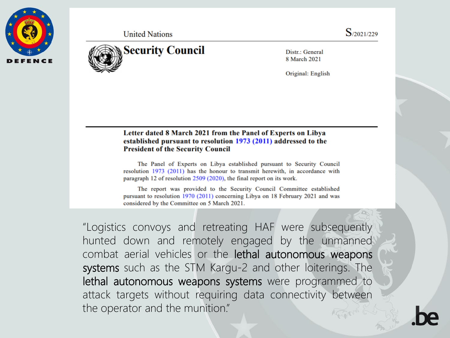

**United Nations** 



Distr.: General 8 March 2021

Original: English

#### Letter dated 8 March 2021 from the Panel of Experts on Libya established pursuant to resolution 1973 (2011) addressed to the **President of the Security Council**

The Panel of Experts on Libya established pursuant to Security Council resolution 1973 (2011) has the honour to transmit herewith, in accordance with paragraph 12 of resolution  $2509(2020)$ , the final report on its work.

The report was provided to the Security Council Committee established pursuant to resolution 1970 (2011) concerning Libya on 18 February 2021 and was considered by the Committee on 5 March 2021.

"Logistics convoys and retreating HAF were subsequently hunted down and remotely engaged by the unmanned combat aerial vehicles or the lethal autonomous weapons systems such as the STM Kargu-2 and other loiterings. The lethal autonomous weapons systems were programmed to attack targets without requiring data connectivity between the operator and the munition."

 $S/2021/229$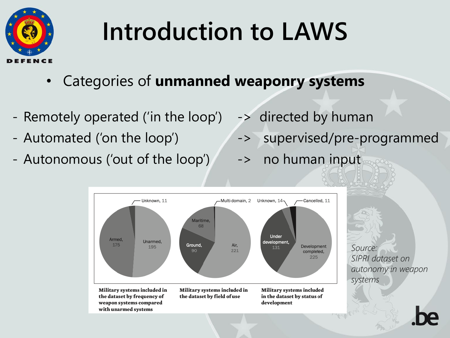

- Categories of **unmanned weaponry systems**
- Remotely operated ('in the loop') -> directed by human
- 
- Autonomous ('out of the loop') -> no human input
- 
- Automated ('on the loop')  $\longrightarrow$  supervised/pre-programmed
	-



*Source: SIPRI dataset on autonomy in weapon systems*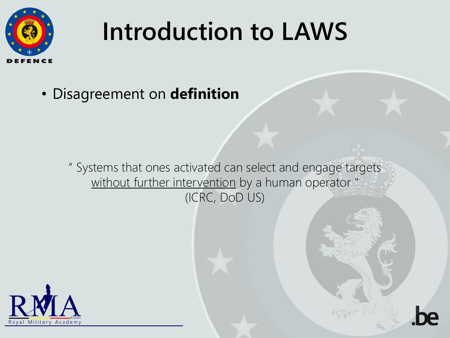

• Disagreement on **definition**

" Systems that ones activated can select and engage targets without further intervention by a human operator" (ICRC, DoD US)

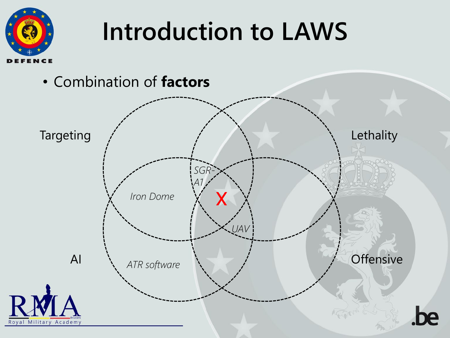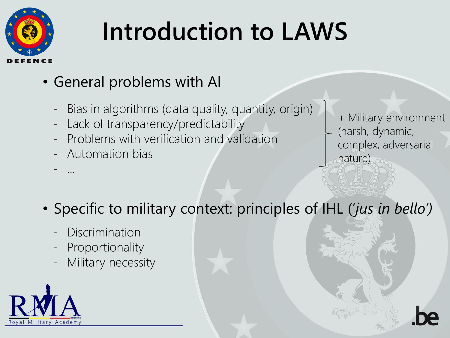

#### • General problems with AI

- Bias in algorithms (data quality, quantity, origin)
- Lack of transparency/predictability
- Problems with verification and validation
- Automation bias

- ...

+ Military environment (harsh, dynamic, complex, adversarial nature)

#### • Specific to military context: principles of IHL ('*jus in bello')*

- **Discrimination**
- Proportionality
- Military necessity

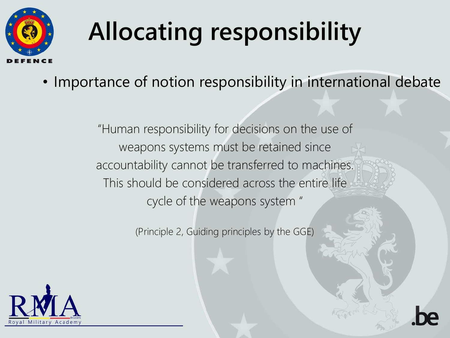

• Importance of notion responsibility in international debate

"Human responsibility for decisions on the use of weapons systems must be retained since accountability cannot be transferred to machines. This should be considered across the entire life cycle of the weapons system "

(Principle 2, Guiding principles by the GGE)

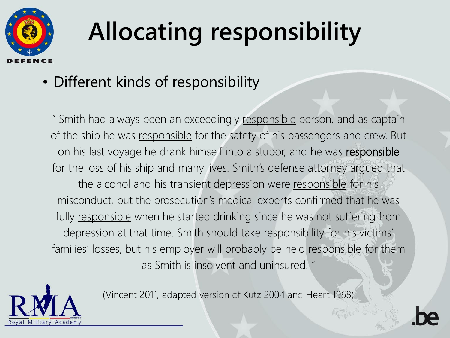

#### • Different kinds of responsibility

" Smith had always been an exceedingly responsible person, and as captain of the ship he was responsible for the safety of his passengers and crew. But on his last voyage he drank himself into a stupor, and he was responsible for the loss of his ship and many lives. Smith's defense attorney argued that the alcohol and his transient depression were responsible for his misconduct, but the prosecution's medical experts confirmed that he was fully responsible when he started drinking since he was not suffering from depression at that time. Smith should take responsibility for his victims' families' losses, but his employer will probably be held responsible for them as Smith is insolvent and uninsured. "



(Vincent 2011, adapted version of Kutz 2004 and Heart 1968)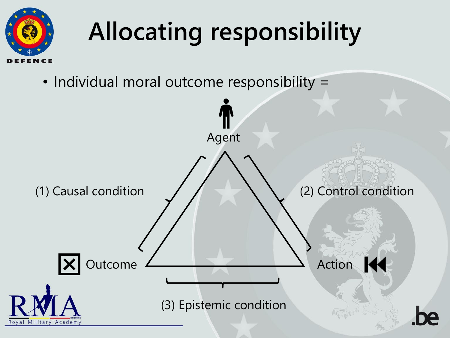

• Individual moral outcome responsibility =

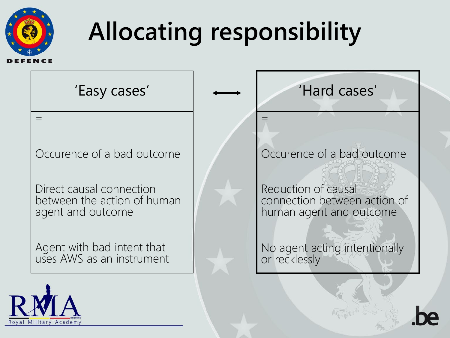

 $=$ 

Occurence of a bad outcome

'Easy cases'

Direct causal connection between the action of human agent and outcome

Agent with bad intent that uses AWS as an instrument



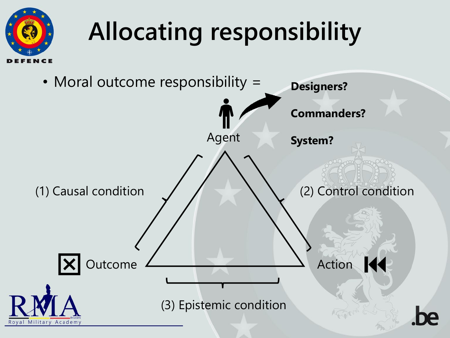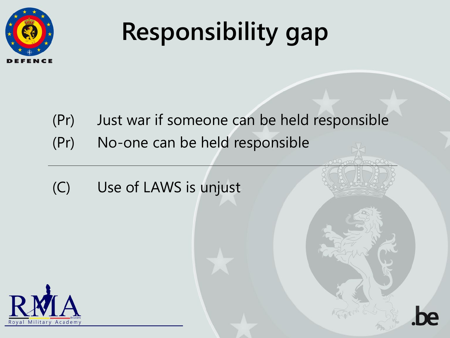

## **Responsibility gap**

- (Pr) Just war if someone can be held responsible
- (Pr) No-one can be held responsible
- (C) Use of LAWS is unjust

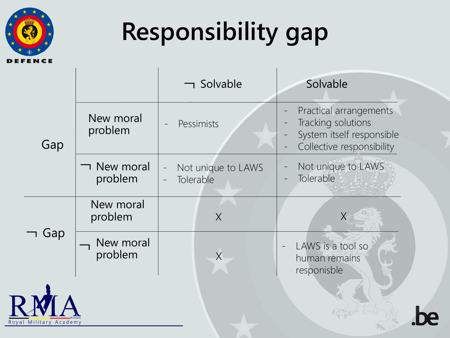

 $R<sub>o</sub>$ 

## **Responsibility gap**

|                         |                               | $\lnot$ Solvable                | Solvable                                                                                               |
|-------------------------|-------------------------------|---------------------------------|--------------------------------------------------------------------------------------------------------|
| Gap                     | New moral<br>problem          | Pessimists                      | Practical arrangements<br>Tracking solutions<br>System itself responsible<br>Collective responsibility |
|                         | <b>T</b> New moral<br>problem | Not unique to LAWS<br>Tolerable | Not unique to LAWS<br>Tolerable                                                                        |
| Gap                     | New moral<br>problem          | $\overline{\chi}$               | $\overline{\chi}$                                                                                      |
|                         | New moral<br>problem          | $\overline{X}$                  | LAWS is a tool so<br>human remains<br>responisble                                                      |
| Academy<br>val Military |                               |                                 |                                                                                                        |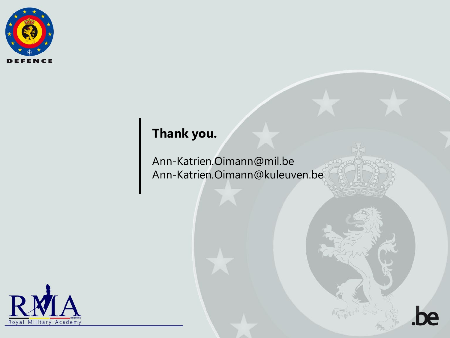

#### **Thank you.**

Ann-Katrien.Oimann@mil.be Ann-Katrien.Oimann@kuleuven.be